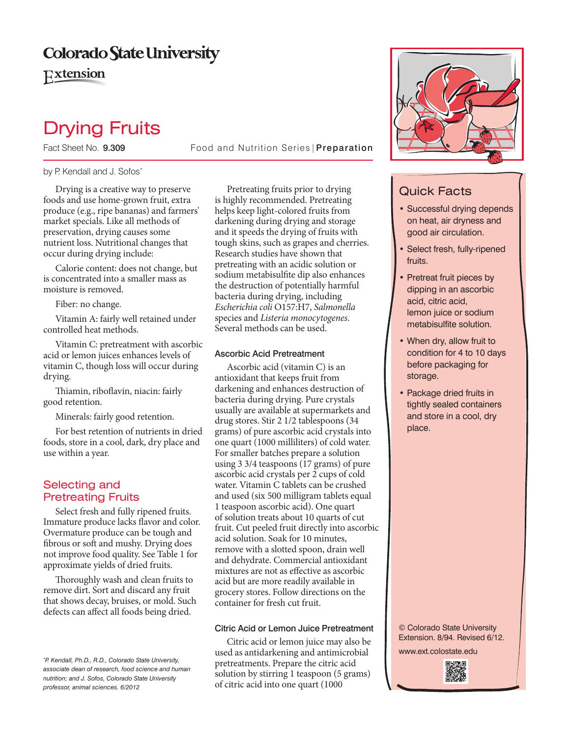## Colorado State University

Extension

# Drying Fruits

Fact Sheet No. 9.309 **Food and Nutrition Series Preparation** 

#### by P. Kendall and J. Sofos\*

Drying is a creative way to preserve foods and use home-grown fruit, extra produce (e.g., ripe bananas) and farmers' market specials. Like all methods of preservation, drying causes some nutrient loss. Nutritional changes that occur during drying include:

Calorie content: does not change, but is concentrated into a smaller mass as moisture is removed.

Fiber: no change.

Vitamin A: fairly well retained under controlled heat methods.

Vitamin C: pretreatment with ascorbic acid or lemon juices enhances levels of vitamin C, though loss will occur during drying.

Thiamin, riboflavin, niacin: fairly good retention.

Minerals: fairly good retention.

For best retention of nutrients in dried foods, store in a cool, dark, dry place and use within a year.

## Selecting and Pretreating Fruits

Select fresh and fully ripened fruits. Immature produce lacks favor and color. Overmature produce can be tough and fibrous or soft and mushy. Drying does not improve food quality. See Table 1 for approximate yields of dried fruits.

Thoroughly wash and clean fruits to remove dirt. Sort and discard any fruit that shows decay, bruises, or mold. Such defects can afect all foods being dried.

*\* P. Kendall, Ph.D., R.D., Colorado State University, associate dean of research, food science and human nutrition; and J. Sofos, Colorado State University professor, animal sciences. 6/2012*

Pretreating fruits prior to drying is highly recommended. Pretreating helps keep light-colored fruits from darkening during drying and storage and it speeds the drying of fruits with tough skins, such as grapes and cherries. Research studies have shown that pretreating with an acidic solution or sodium metabisulfte dip also enhances the destruction of potentially harmful bacteria during drying, including *Escherichia coli* O157:H7, *Salmonella* species and *Listeria monocytogenes*. Several methods can be used.

## Ascorbic Acid Pretreatment

Ascorbic acid (vitamin C) is an antioxidant that keeps fruit from darkening and enhances destruction of bacteria during drying. Pure crystals usually are available at supermarkets and drug stores. Stir 2 1/2 tablespoons (34 grams) of pure ascorbic acid crystals into one quart (1000 milliliters) of cold water. For smaller batches prepare a solution using 3 3/4 teaspoons (17 grams) of pure ascorbic acid crystals per 2 cups of cold water. Vitamin C tablets can be crushed and used (six 500 milligram tablets equal 1 teaspoon ascorbic acid). One quart of solution treats about 10 quarts of cut fruit. Cut peeled fruit directly into ascorbic acid solution. Soak for 10 minutes, remove with a slotted spoon, drain well and dehydrate. Commercial antioxidant mixtures are not as efective as ascorbic acid but are more readily available in grocery stores. Follow directions on the container for fresh cut fruit.

## Citric Acid or Lemon Juice Pretreatment

Citric acid or lemon juice may also be used as antidarkening and antimicrobial pretreatments. Prepare the citric acid solution by stirring 1 teaspoon (5 grams) of citric acid into one quart (1000



## Quick Facts

- Successful drying depends on heat, air dryness and good air circulation.
- Select fresh, fully-ripened fruits.
- Pretreat fruit pieces by dipping in an ascorbic acid, citric acid, lemon juice or sodium metabisulfite solution.
- When dry, allow fruit to condition for 4 to 10 days before packaging for storage.
- Package dried fruits in tightly sealed containers and store in a cool, dry place.

© Colorado State University Extension. 8/94. Revised 6/12.

www.ext.colostate.edu

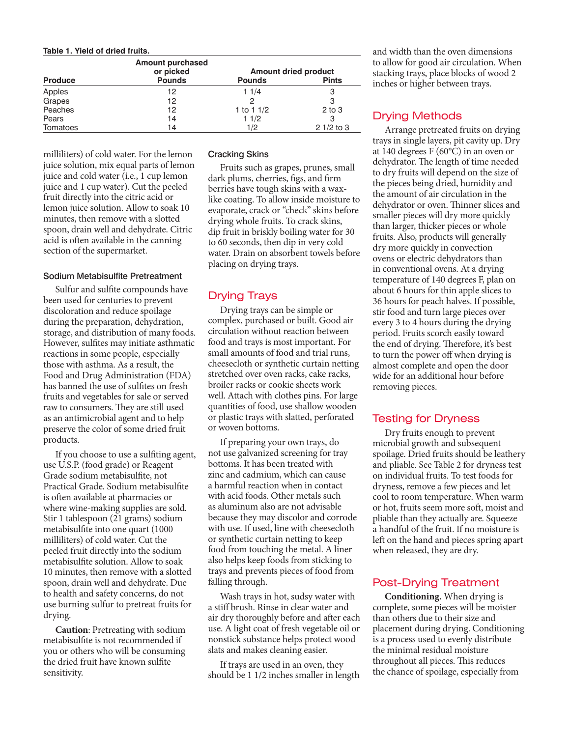#### **Table 1. Yield of dried fruits.**

|                | <b>Amount purchased</b><br>or picked | <b>Amount dried product</b> |              |
|----------------|--------------------------------------|-----------------------------|--------------|
| <b>Produce</b> | <b>Pounds</b>                        | <b>Pounds</b>               | <b>Pints</b> |
| Apples         | 12                                   | 11/4                        | 3            |
| Grapes         | 12                                   | 2                           | 3            |
| Peaches        | 12                                   | 1 to 1 $1/2$                | $2$ to $3$   |
| Pears          | 14                                   | 11/2                        | З            |
| Tomatoes       | 14                                   | 1/2                         | $21/2$ to 3  |

milliliters) of cold water. For the lemon juice solution, mix equal parts of lemon juice and cold water (i.e., 1 cup lemon juice and 1 cup water). Cut the peeled fruit directly into the citric acid or lemon juice solution. Allow to soak 10 minutes, then remove with a slotted spoon, drain well and dehydrate. Citric acid is ofen available in the canning section of the supermarket.

#### Sodium Metabisulfite Pretreatment

Sulfur and sulfte compounds have been used for centuries to prevent discoloration and reduce spoilage during the preparation, dehydration, storage, and distribution of many foods. However, sulftes may initiate asthmatic reactions in some people, especially those with asthma. As a result, the Food and Drug Administration (FDA) has banned the use of sulftes on fresh fruits and vegetables for sale or served raw to consumers. They are still used as an antimicrobial agent and to help preserve the color of some dried fruit products.

If you choose to use a sulfting agent, use U.S.P. (food grade) or Reagent Grade sodium metabisulfte, not Practical Grade. Sodium metabisulfte is ofen available at pharmacies or where wine-making supplies are sold. Stir 1 tablespoon (21 grams) sodium metabisulfte into one quart (1000 milliliters) of cold water. Cut the peeled fruit directly into the sodium metabisulfte solution. Allow to soak 10 minutes, then remove with a slotted spoon, drain well and dehydrate. Due to health and safety concerns, do not use burning sulfur to pretreat fruits for drying.

**Caution**: Pretreating with sodium metabisulfte is not recommended if you or others who will be consuming the dried fruit have known sulfte sensitivity.

#### Cracking Skins

Fruits such as grapes, prunes, small dark plums, cherries, fgs, and frm berries have tough skins with a waxlike coating. To allow inside moisture to evaporate, crack or "check" skins before drying whole fruits. To crack skins, dip fruit in briskly boiling water for 30 to 60 seconds, then dip in very cold water. Drain on absorbent towels before placing on drying trays.

## Drying Trays

Drying trays can be simple or complex, purchased or built. Good air circulation without reaction between food and trays is most important. For small amounts of food and trial runs, cheesecloth or synthetic curtain netting stretched over oven racks, cake racks, broiler racks or cookie sheets work well. Attach with clothes pins. For large quantities of food, use shallow wooden or plastic trays with slatted, perforated or woven bottoms.

If preparing your own trays, do not use galvanized screening for tray bottoms. It has been treated with zinc and cadmium, which can cause a harmful reaction when in contact with acid foods. Other metals such as aluminum also are not advisable because they may discolor and corrode with use. If used, line with cheesecloth or synthetic curtain netting to keep food from touching the metal. A liner also helps keep foods from sticking to trays and prevents pieces of food from falling through.

Wash trays in hot, sudsy water with a stif brush. Rinse in clear water and air dry thoroughly before and afer each use. A light coat of fresh vegetable oil or nonstick substance helps protect wood slats and makes cleaning easier.

If trays are used in an oven, they should be 1 1/2 inches smaller in length and width than the oven dimensions to allow for good air circulation. When stacking trays, place blocks of wood 2 inches or higher between trays.

## Drying Methods

Arrange pretreated fruits on drying trays in single layers, pit cavity up. Dry at 140 degrees F (60°C) in an oven or dehydrator. The length of time needed to dry fruits will depend on the size of the pieces being dried, humidity and the amount of air circulation in the dehydrator or oven. Thinner slices and smaller pieces will dry more quickly than larger, thicker pieces or whole fruits. Also, products will generally dry more quickly in convection ovens or electric dehydrators than in conventional ovens. At a drying temperature of 140 degrees F, plan on about 6 hours for thin apple slices to 36 hours for peach halves. If possible, stir food and turn large pieces over every 3 to 4 hours during the drying period. Fruits scorch easily toward the end of drying. Therefore, it's best to turn the power off when drying is almost complete and open the door wide for an additional hour before removing pieces.

## Testing for Dryness

Dry fruits enough to prevent microbial growth and subsequent spoilage. Dried fruits should be leathery and pliable. See Table 2 for dryness test on individual fruits. To test foods for dryness, remove a few pieces and let cool to room temperature. When warm or hot, fruits seem more sof, moist and pliable than they actually are. Squeeze a handful of the fruit. If no moisture is left on the hand and pieces spring apart when released, they are dry.

## Post-Drying Treatment

**Conditioning.** When drying is complete, some pieces will be moister than others due to their size and placement during drying. Conditioning is a process used to evenly distribute the minimal residual moisture throughout all pieces. This reduces the chance of spoilage, especially from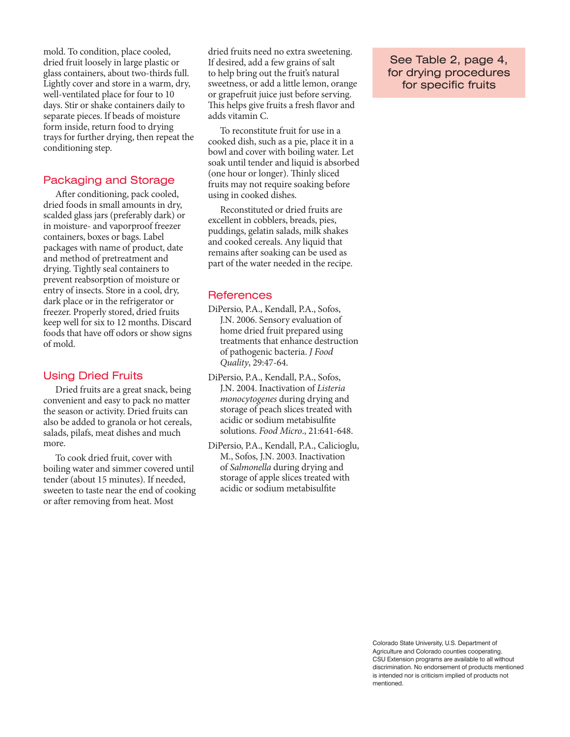mold. To condition, place cooled, dried fruit loosely in large plastic or glass containers, about two-thirds full. Lightly cover and store in a warm, dry, well-ventilated place for four to 10 days. Stir or shake containers daily to separate pieces. If beads of moisture form inside, return food to drying trays for further drying, then repeat the conditioning step.

## Packaging and Storage

Afer conditioning, pack cooled, dried foods in small amounts in dry, scalded glass jars (preferably dark) or in moisture- and vaporproof freezer containers, boxes or bags. Label packages with name of product, date and method of pretreatment and drying. Tightly seal containers to prevent reabsorption of moisture or entry of insects. Store in a cool, dry, dark place or in the refrigerator or freezer. Properly stored, dried fruits keep well for six to 12 months. Discard foods that have off odors or show signs of mold.

## Using Dried Fruits

Dried fruits are a great snack, being convenient and easy to pack no matter the season or activity. Dried fruits can also be added to granola or hot cereals, salads, pilafs, meat dishes and much more.

To cook dried fruit, cover with boiling water and simmer covered until tender (about 15 minutes). If needed, sweeten to taste near the end of cooking or after removing from heat. Most

dried fruits need no extra sweetening. If desired, add a few grains of salt to help bring out the fruit's natural sweetness, or add a little lemon, orange or grapefruit juice just before serving. This helps give fruits a fresh flavor and adds vitamin C.

To reconstitute fruit for use in a cooked dish, such as a pie, place it in a bowl and cover with boiling water. Let soak until tender and liquid is absorbed (one hour or longer). Thinly sliced fruits may not require soaking before using in cooked dishes.

Reconstituted or dried fruits are excellent in cobblers, breads, pies, puddings, gelatin salads, milk shakes and cooked cereals. Any liquid that remains after soaking can be used as part of the water needed in the recipe.

## **References**

- DiPersio, P.A., Kendall, P.A., Sofos, J.N. 2006. Sensory evaluation of home dried fruit prepared using treatments that enhance destruction of pathogenic bacteria. *J Food Quality*, 29:47-64.
- DiPersio, P.A., Kendall, P.A., Sofos, J.N. 2004. Inactivation of *Listeria monocytogenes* during drying and storage of peach slices treated with acidic or sodium metabisulfte solutions. *Food Micro*., 21:641-648.
- DiPersio, P.A., Kendall, P.A., Calicioglu, M., Sofos, J.N. 2003. Inactivation of *Salmonella* during drying and storage of apple slices treated with acidic or sodium metabisulfte

solutions. *J. Food Prot*. 66:2245- See Table 2, page 4, for drying procedures for specific fruits

Colorado State University, U.S. Department of Agriculture and Colorado counties cooperating. CSU Extension programs are available to all without discrimination. No endorsement of products mentioned is intended nor is criticism implied of products not mentioned.